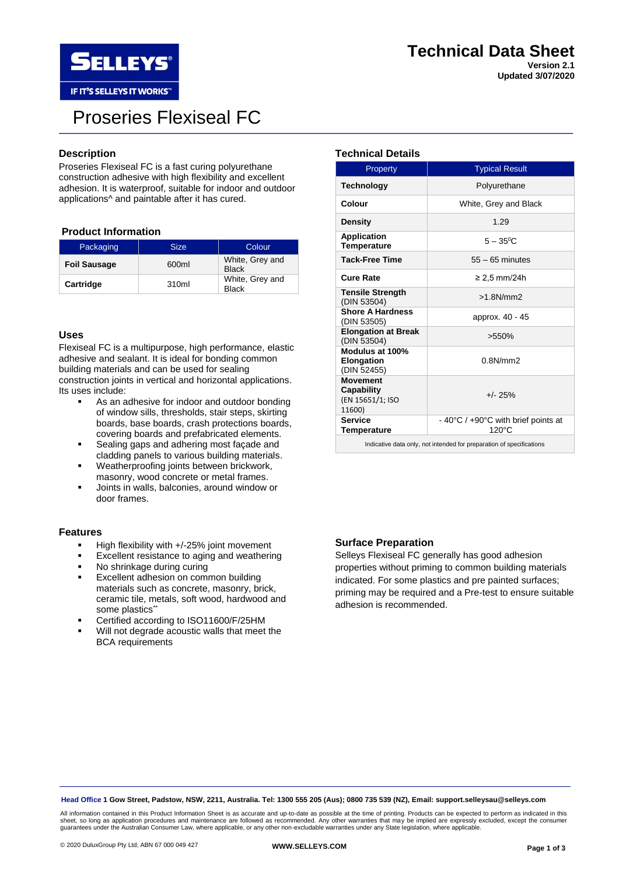

# Proseries Flexiseal FC

# **Description**

Proseries Flexiseal FC is a fast curing polyurethane construction adhesive with high flexibility and excellent adhesion. It is waterproof, suitable for indoor and outdoor applications^ and paintable after it has cured.

# **Product Information**

| Packaging           | <b>Size</b> | Colour.                         |
|---------------------|-------------|---------------------------------|
| <b>Foil Sausage</b> | 600ml       | White, Grey and<br><b>Black</b> |
| Cartridge           | 310ml       | White, Grey and<br><b>Black</b> |

### **Uses**

Flexiseal FC is a multipurpose, high performance, elastic adhesive and sealant. It is ideal for bonding common building materials and can be used for sealing construction joints in vertical and horizontal applications. Its uses include:

- As an adhesive for indoor and outdoor bonding of window sills, thresholds, stair steps, skirting boards, base boards, crash protections boards, covering boards and prefabricated elements.
- Sealing gaps and adhering most façade and cladding panels to various building materials.
- Weatherproofing joints between brickwork, masonry, wood concrete or metal frames.
- Joints in walls, balconies, around window or door frames.

#### **Features**

- High flexibility with +/-25% joint movement
- Excellent resistance to aging and weathering
- No shrinkage during curing
- **Excellent adhesion on common building** materials such as concrete, masonry, brick, ceramic tile, metals, soft wood, hardwood and some plastics\*\*
- Certified according to ISO11600/F/25HM
- Will not degrade acoustic walls that meet the BCA requirements

# **Technical Details**

| Property                                                             | <b>Typical Result</b>                                  |  |  |
|----------------------------------------------------------------------|--------------------------------------------------------|--|--|
| <b>Technology</b>                                                    | Polyurethane                                           |  |  |
| Colour                                                               | White, Grey and Black                                  |  |  |
| <b>Density</b>                                                       | 1.29                                                   |  |  |
| Application<br>Temperature                                           | $5 - 35^{\circ}$ C                                     |  |  |
| <b>Tack-Free Time</b>                                                | $55 - 65$ minutes                                      |  |  |
| <b>Cure Rate</b>                                                     | $\geq$ 2.5 mm/24h                                      |  |  |
| <b>Tensile Strength</b><br>(DIN 53504)                               | $>1.8$ N/mm $2$                                        |  |  |
| <b>Shore A Hardness</b><br>(DIN 53505)                               | approx. 40 - 45                                        |  |  |
| <b>Elongation at Break</b><br>(DIN 53504)                            | >550%                                                  |  |  |
| Modulus at 100%<br>Elongation<br>(DIN 52455)                         | 0.8N/mm                                                |  |  |
| <b>Movement</b><br>Capability<br>(EN 15651/1; ISO<br>11600)          | $+/- 25%$                                              |  |  |
| <b>Service</b><br><b>Temperature</b>                                 | - 40°C / +90°C with brief points at<br>$120^{\circ}$ C |  |  |
| Indicative data only, not intended for preparation of specifications |                                                        |  |  |

### **Surface Preparation**

Selleys Flexiseal FC generally has good adhesion properties without priming to common building materials indicated. For some plastics and pre painted surfaces; priming may be required and a Pre-test to ensure suitable adhesion is recommended.

**Head Office 1 Gow Street, Padstow, NSW, 2211, Australia. Tel: 1300 555 205 (Aus); 0800 735 539 (NZ), Email: support.selleysau@selleys.com**

All information contained in this Product Information Sheet is as accurate and up-to-date as possible at the time of printing. Products can be expected to perform as indicated in this sheet, so long as application procedures and maintenance are followed as recommended. Any other warranties that may be implied are expressly excluded, except the consumer guarantees under the Australian Consumer Law, where applicable, or any other non-excludable warranties under any State legislation, where applicable.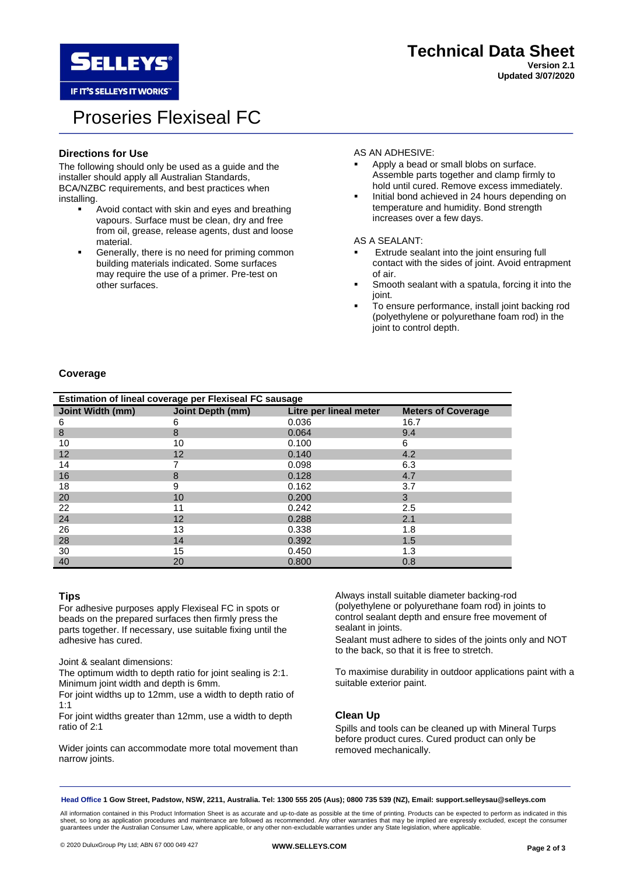

# Proseries Flexiseal FC

# **Directions for Use**

The following should only be used as a guide and the installer should apply all Australian Standards, BCA/NZBC requirements, and best practices when installing.

- Avoid contact with skin and eyes and breathing vapours. Surface must be clean, dry and free from oil, grease, release agents, dust and loose material.
- **•** Generally, there is no need for priming common building materials indicated. Some surfaces may require the use of a primer. Pre-test on other surfaces.

# AS AN ADHESIVE:

- Apply a bead or small blobs on surface. Assemble parts together and clamp firmly to hold until cured. Remove excess immediately.
- Initial bond achieved in 24 hours depending on temperature and humidity. Bond strength increases over a few days.

AS A SEALANT:

- Extrude sealant into the joint ensuring full contact with the sides of joint. Avoid entrapment of air.
- Smooth sealant with a spatula, forcing it into the joint.
- To ensure performance, install joint backing rod (polyethylene or polyurethane foam rod) in the joint to control depth.

# **Coverage**

| Estimation of lineal coverage per Flexiseal FC sausage |                  |                        |                           |  |  |
|--------------------------------------------------------|------------------|------------------------|---------------------------|--|--|
| Joint Width (mm)                                       | Joint Depth (mm) | Litre per lineal meter | <b>Meters of Coverage</b> |  |  |
| 6                                                      | 6                | 0.036                  | 16.7                      |  |  |
| 8                                                      | 8                | 0.064                  | 9.4                       |  |  |
| 10                                                     | 10               | 0.100                  | 6                         |  |  |
| 12                                                     | 12               | 0.140                  | 4.2                       |  |  |
| 14                                                     |                  | 0.098                  | 6.3                       |  |  |
| 16                                                     | 8                | 0.128                  | 4.7                       |  |  |
| 18                                                     | 9                | 0.162                  | 3.7                       |  |  |
| 20                                                     | 10               | 0.200                  | 3                         |  |  |
| 22                                                     | 11               | 0.242                  | 2.5                       |  |  |
| 24                                                     | 12               | 0.288                  | 2.1                       |  |  |
| 26                                                     | 13               | 0.338                  | 1.8                       |  |  |
| 28                                                     | 14               | 0.392                  | 1.5                       |  |  |
| 30                                                     | 15               | 0.450                  | 1.3                       |  |  |
| 40                                                     | 20               | 0.800                  | 0.8                       |  |  |

# **Tips**

For adhesive purposes apply Flexiseal FC in spots or beads on the prepared surfaces then firmly press the parts together. If necessary, use suitable fixing until the adhesive has cured.

Joint & sealant dimensions:

The optimum width to depth ratio for joint sealing is 2:1. Minimum joint width and depth is 6mm.

For joint widths up to 12mm, use a width to depth ratio of 1:1

For joint widths greater than 12mm, use a width to depth ratio of 2:1

Wider joints can accommodate more total movement than narrow joints.

Always install suitable diameter backing-rod (polyethylene or polyurethane foam rod) in joints to control sealant depth and ensure free movement of sealant in joints.

Sealant must adhere to sides of the joints only and NOT to the back, so that it is free to stretch.

To maximise durability in outdoor applications paint with a suitable exterior paint.

# **Clean Up**

Spills and tools can be cleaned up with Mineral Turps before product cures. Cured product can only be removed mechanically.

**Head Office 1 Gow Street, Padstow, NSW, 2211, Australia. Tel: 1300 555 205 (Aus); 0800 735 539 (NZ), Email: support.selleysau@selleys.com**

All information contained in this Product Information Sheet is as accurate and up-to-date as possible at the time of printing. Products can be expected to perform as indicated in this sheet, so long as application procedures and maintenance are followed as recommended. Any other warranties that may be implied are expressly excluded, except the consumer guarantees under the Australian Consumer Law, where applicable, or any other non-excludable warranties under any State legislation, where applicable.